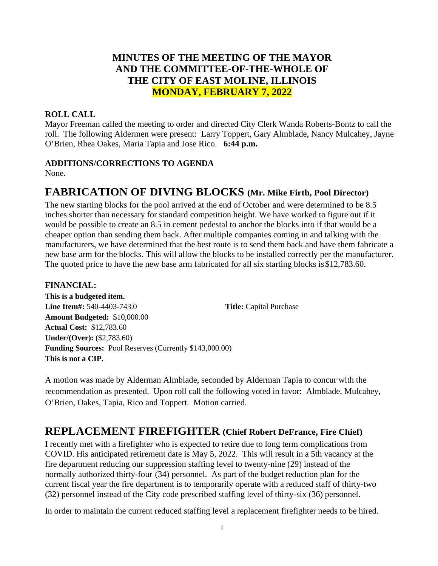# **MINUTES OF THE MEETING OF THE MAYOR AND THE COMMITTEE-OF-THE-WHOLE OF THE CITY OF EAST MOLINE, ILLINOIS MONDAY, FEBRUARY 7, 2022**

# **ROLL CALL**

Mayor Freeman called the meeting to order and directed City Clerk Wanda Roberts-Bontz to call the roll. The following Aldermen were present: Larry Toppert, Gary Almblade, Nancy Mulcahey, Jayne O'Brien, Rhea Oakes, Maria Tapia and Jose Rico. **6:44 p.m.**

## **ADDITIONS/CORRECTIONS TO AGENDA**

None.

# **FABRICATION OF DIVING BLOCKS (Mr. Mike Firth, Pool Director)**

The new starting blocks for the pool arrived at the end of October and were determined to be 8.5 inches shorter than necessary for standard competition height. We have worked to figure out if it would be possible to create an 8.5 in cement pedestal to anchor the blocks into if that would be a cheaper option than sending them back. After multiple companies coming in and talking with the manufacturers, we have determined that the best route is to send them back and have them fabricate a new base arm for the blocks. This will allow the blocks to be installed correctly per the manufacturer. The quoted price to have the new base arm fabricated for all six starting blocks is \$12,783.60.

## **FINANCIAL:**

**This is a budgeted item. Line Item#:** 540-4403-743.0 **Title:** Capital Purchase **Amount Budgeted:** \$10,000.00 **Actual Cost:** \$12,783.60 **Under/(Over):** (\$2,783.60) **Funding Sources:** Pool Reserves (Currently \$143,000.00) **This is not a CIP.**

A motion was made by Alderman Almblade, seconded by Alderman Tapia to concur with the recommendation as presented. Upon roll call the following voted in favor: Almblade, Mulcahey, O'Brien, Oakes, Tapia, Rico and Toppert. Motion carried.

# **REPLACEMENT FIREFIGHTER (Chief Robert DeFrance, Fire Chief)**

I recently met with a firefighter who is expected to retire due to long term complications from COVID. His anticipated retirement date is May 5, 2022. This will result in a 5th vacancy at the fire department reducing our suppression staffing level to twenty-nine (29) instead of the normally authorized thirty-four (34) personnel. As part of the budget reduction plan for the current fiscal year the fire department is to temporarily operate with a reduced staff of thirty-two (32) personnel instead of the City code prescribed staffing level of thirty-six (36) personnel.

In order to maintain the current reduced staffing level a replacement firefighter needs to be hired.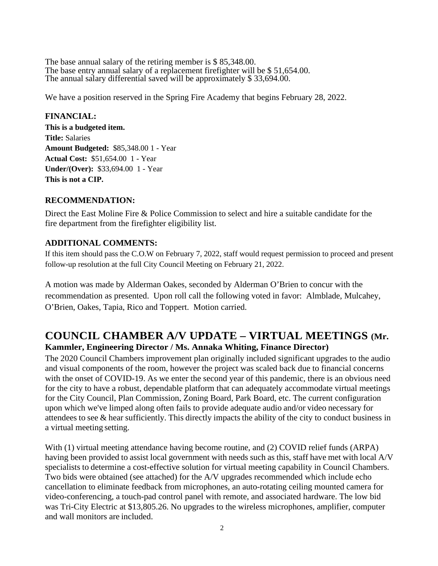The base annual salary of the retiring member is \$85,348.00. The base entry annual salary of a replacement firefighter will be \$ 51,654.00. The annual salary differential saved will be approximately \$ 33,694.00.

We have a position reserved in the Spring Fire Academy that begins February 28, 2022.

## **FINANCIAL:**

**This is a budgeted item. Title:** Salaries **Amount Budgeted:** \$85,348.00 1 - Year **Actual Cost:** \$51,654.00 1 - Year **Under/(Over):** \$33,694.00 1 - Year **This is not a CIP.**

## **RECOMMENDATION:**

Direct the East Moline Fire & Police Commission to select and hire a suitable candidate for the fire department from the firefighter eligibility list.

# **ADDITIONAL COMMENTS:**

If this item should pass the C.O.W on February 7, 2022, staff would request permission to proceed and present follow-up resolution at the full City Council Meeting on February 21, 2022.

A motion was made by Alderman Oakes, seconded by Alderman O'Brien to concur with the recommendation as presented. Upon roll call the following voted in favor: Almblade, Mulcahey, O'Brien, Oakes, Tapia, Rico and Toppert. Motion carried.

# **COUNCIL CHAMBER A/V UPDATE – VIRTUAL MEETINGS (Mr. Kammler, Engineering Director / Ms. Annaka Whiting, Finance Director)**

The 2020 Council Chambers improvement plan originally included significant upgrades to the audio and visual components of the room, however the project was scaled back due to financial concerns with the onset of COVID-19. As we enter the second year of this pandemic, there is an obvious need for the city to have a robust, dependable platform that can adequately accommodate virtual meetings for the City Council, Plan Commission, Zoning Board, Park Board, etc. The current configuration upon which we've limped along often fails to provide adequate audio and/or video necessary for attendees to see & hear sufficiently. This directly impacts the ability of the city to conduct business in a virtual meeting setting.

With (1) virtual meeting attendance having become routine, and (2) COVID relief funds (ARPA) having been provided to assist local government with needs such as this, staff have met with local A/V specialists to determine a cost-effective solution for virtual meeting capability in Council Chambers. Two bids were obtained (see attached) for the A/V upgrades recommended which include echo cancellation to eliminate feedback from microphones, an auto-rotating ceiling mounted camera for video-conferencing, a touch-pad control panel with remote, and associated hardware. The low bid was Tri-City Electric at \$13,805.26. No upgrades to the wireless microphones, amplifier, computer and wall monitors are included.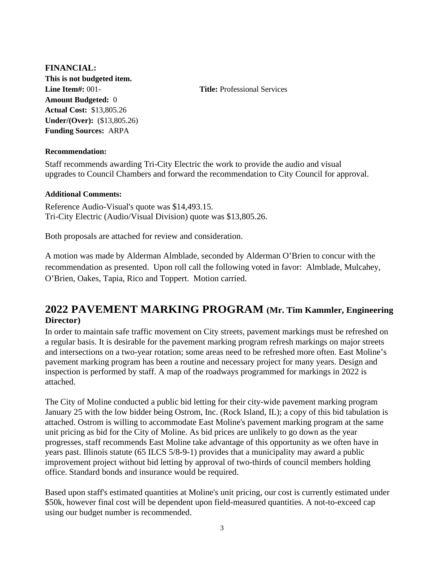# **FINANCIAL: This is not budgeted item. Line Item#:** 001- **Title:** Professional Services **Amount Budgeted:** 0 **Actual Cost:** \$13,805.26 **Under/(Over):** (\$13,805.26) **Funding Sources:** ARPA

### **Recommendation:**

Staff recommends awarding Tri-City Electric the work to provide the audio and visual upgrades to Council Chambers and forward the recommendation to City Council for approval.

#### **Additional Comments:**

Reference Audio-Visual's quote was \$14,493.15. Tri-City Electric (Audio/Visual Division) quote was \$13,805.26.

Both proposals are attached for review and consideration.

A motion was made by Alderman Almblade, seconded by Alderman O'Brien to concur with the recommendation as presented. Upon roll call the following voted in favor: Almblade, Mulcahey, O'Brien, Oakes, Tapia, Rico and Toppert. Motion carried.

# **2022 PAVEMENT MARKING PROGRAM (Mr. Tim Kammler, Engineering Director)**

In order to maintain safe traffic movement on City streets, pavement markings must be refreshed on a regular basis. It is desirable for the pavement marking program refresh markings on major streets and intersections on a two-year rotation; some areas need to be refreshed more often. East Moline's pavement marking program has been a routine and necessary project for many years. Design and inspection is performed by staff. A map of the roadways programmed for markings in 2022 is attached.

The City of Moline conducted a public bid letting for their city-wide pavement marking program January 25 with the low bidder being Ostrom, Inc. (Rock Island, IL); a copy of this bid tabulation is attached. Ostrom is willing to accommodate East Moline's pavement marking program at the same unit pricing as bid for the City of Moline. As bid prices are unlikely to go down as the year progresses, staff recommends East Moline take advantage of this opportunity as we often have in years past. Illinois statute (65 ILCS 5/8-9-1) provides that a municipality may award a public improvement project without bid letting by approval of two-thirds of council members holding office. Standard bonds and insurance would be required.

Based upon staff's estimated quantities at Moline's unit pricing, our cost is currently estimated under \$50k, however final cost will be dependent upon field-measured quantities. A not-to-exceed cap using our budget number is recommended.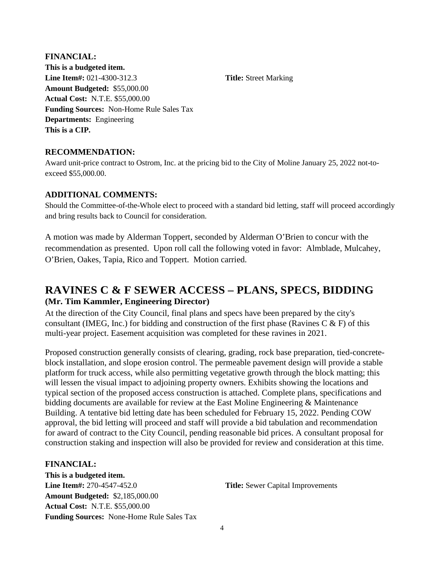**FINANCIAL: This is a budgeted item. Line Item#:** 021-4300-312.3 **Title:** Street Marking **Amount Budgeted:** \$55,000.00 **Actual Cost:** N.T.E. \$55,000.00 **Funding Sources:** Non-Home Rule Sales Tax **Departments:** Engineering **This is a CIP.**

#### **RECOMMENDATION:**

Award unit-price contract to Ostrom, Inc. at the pricing bid to the City of Moline January 25, 2022 not-toexceed \$55,000.00.

#### **ADDITIONAL COMMENTS:**

Should the Committee-of-the-Whole elect to proceed with a standard bid letting, staff will proceed accordingly and bring results back to Council for consideration.

A motion was made by Alderman Toppert, seconded by Alderman O'Brien to concur with the recommendation as presented. Upon roll call the following voted in favor: Almblade, Mulcahey, O'Brien, Oakes, Tapia, Rico and Toppert. Motion carried.

# **RAVINES C & F SEWER ACCESS – PLANS, SPECS, BIDDING (Mr. Tim Kammler, Engineering Director)**

At the direction of the City Council, final plans and specs have been prepared by the city's consultant (IMEG, Inc.) for bidding and construction of the first phase (Ravines C & F) of this multi-year project. Easement acquisition was completed for these ravines in 2021.

Proposed construction generally consists of clearing, grading, rock base preparation, tied-concreteblock installation, and slope erosion control. The permeable pavement design will provide a stable platform for truck access, while also permitting vegetative growth through the block matting; this will lessen the visual impact to adjoining property owners. Exhibits showing the locations and typical section of the proposed access construction is attached. Complete plans, specifications and bidding documents are available for review at the East Moline Engineering  $\&$  Maintenance Building. A tentative bid letting date has been scheduled for February 15, 2022. Pending COW approval, the bid letting will proceed and staff will provide a bid tabulation and recommendation for award of contract to the City Council, pending reasonable bid prices. A consultant proposal for construction staking and inspection will also be provided for review and consideration at this time.

#### **FINANCIAL:**

**This is a budgeted item. Line Item#:** 270-4547-452.0 **Title:** Sewer Capital Improvements **Amount Budgeted:** \$2,185,000.00 **Actual Cost:** N.T.E. \$55,000.00 **Funding Sources:** None-Home Rule Sales Tax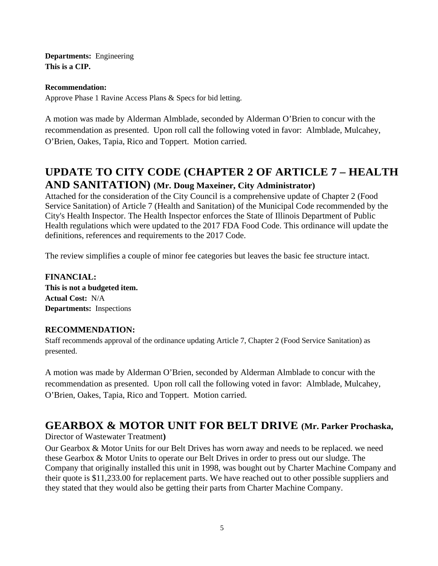**Departments:** Engineering **This is a CIP.**

#### **Recommendation:**

Approve Phase 1 Ravine Access Plans & Specs for bid letting.

A motion was made by Alderman Almblade, seconded by Alderman O'Brien to concur with the recommendation as presented. Upon roll call the following voted in favor: Almblade, Mulcahey, O'Brien, Oakes, Tapia, Rico and Toppert. Motion carried.

# **UPDATE TO CITY CODE (CHAPTER 2 OF ARTICLE 7 – HEALTH AND SANITATION) (Mr. Doug Maxeiner, City Administrator)**

Attached for the consideration of the City Council is a comprehensive update of Chapter 2 (Food Service Sanitation) of Article 7 (Health and Sanitation) of the Municipal Code recommended by the City's Health Inspector. The Health Inspector enforces the State of Illinois Department of Public Health regulations which were updated to the 2017 FDA Food Code. This ordinance will update the definitions, references and requirements to the 2017 Code.

The review simplifies a couple of minor fee categories but leaves the basic fee structure intact.

**FINANCIAL: This is not a budgeted item. Actual Cost:** N/A **Departments:** Inspections

## **RECOMMENDATION:**

Staff recommends approval of the ordinance updating Article 7, Chapter 2 (Food Service Sanitation) as presented.

A motion was made by Alderman O'Brien, seconded by Alderman Almblade to concur with the recommendation as presented. Upon roll call the following voted in favor: Almblade, Mulcahey, O'Brien, Oakes, Tapia, Rico and Toppert. Motion carried.

# **GEARBOX & MOTOR UNIT FOR BELT DRIVE (Mr. Parker Prochaska,**

#### Director of Wastewater Treatment**)**

Our Gearbox & Motor Units for our Belt Drives has worn away and needs to be replaced. we need these Gearbox & Motor Units to operate our Belt Drives in order to press out our sludge. The Company that originally installed this unit in 1998, was bought out by Charter Machine Company and their quote is \$11,233.00 for replacement parts. We have reached out to other possible suppliers and they stated that they would also be getting their parts from Charter Machine Company.